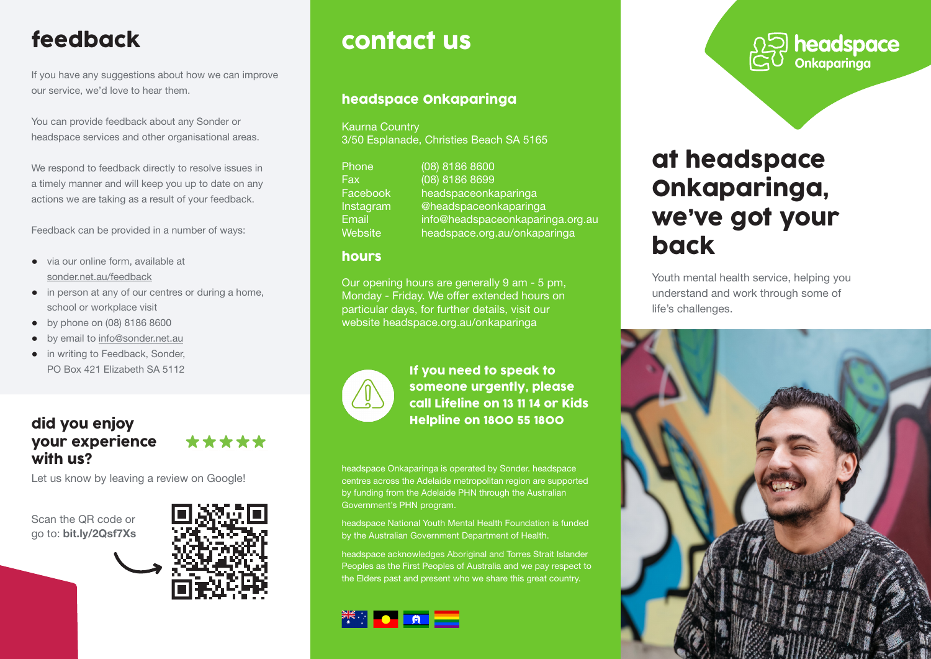# feedback

If you have any suggestions about how we can improve our service, we'd love to hear them.

You can provide feedback about any Sonder or headspace services and other organisational areas.

We respond to feedback directly to resolve issues in a timely manner and will keep you up to date on any actions we are taking as a result of your feedback.

Feedback can be provided in a number of ways:

- via our online form, available at sonder.net.au/feedback
- in person at any of our centres or during a home, school or workplace visit
- by phone on (08) 8186 8600
- by email to info@sonder.net.au
- in writing to Feedback, Sonder, PO Box 421 Elizabeth SA 5112

### did you enjoy your experience with us?

Let us know by leaving a review on Google!

Scan the QR code or go to: bit.ly/2Qsf7Xs



\*\*\*\*\*

# contact us

### headspace Onkaparinga

Kaurna Country 3/50 Esplanade, Christies Beach SA 5165

| Phone     | $(08)$ 8186 8600                 |
|-----------|----------------------------------|
| Fax       | (08) 8186 8699                   |
| Facebook, | headspaceonkaparinga             |
| Instagram | @headspaceonkaparinga            |
| Email     | info@headspaceonkaparinga.org.au |
| Website   | headspace.org.au/onkaparinga     |

#### hours

Our opening hours are generally 9 am - 5 pm, Monday - Friday. We offer extended hours on particular days, for further details, visit our website headspace.org.au/onkaparinga



If you need to speak to someone urgently, please call Lifeline on 13 11 14 or Kids Helpline on 1800 55 1800

headspace Onkaparinga is operated by Sonder. headspace centres across the Adelaide metropolitan region are supported by funding from the Adelaide PHN through the Australian Government's PHN program.

headspace National Youth Mental Health Foundation is funded by the Australian Government Department of Health.

headspace acknowledges Aboriginal and Torres Strait Islander Peoples as the First Peoples of Australia and we pay respect to the Elders past and present who we share this great country.



**OS** headspace

# at headspace Onkaparinga, we've got your back

Youth mental health service, helping you understand and work through some of life's challenges.